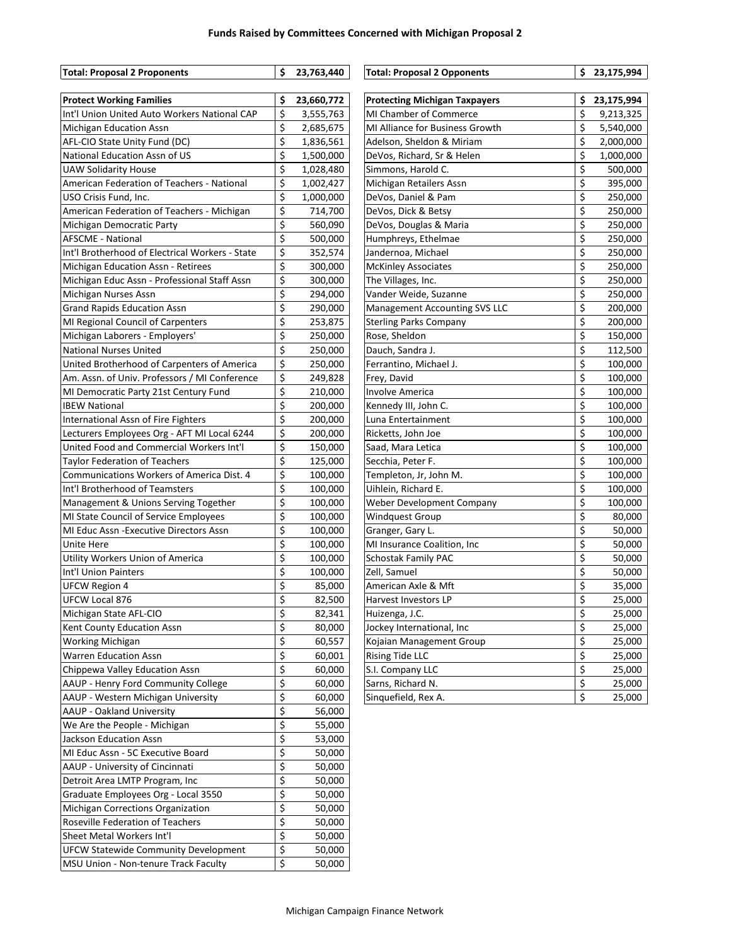## **Funds Raised by Committees Concerned with Michigan Proposal 2**

| <b>Total: Proposal 2 Proponents</b>             | \$                        | 23,763,440 | <b>Total: Proposal 2 Opponents</b>   | \$23,175,994     |
|-------------------------------------------------|---------------------------|------------|--------------------------------------|------------------|
| <b>Protect Working Families</b>                 | \$                        | 23,660,772 | <b>Protecting Michigan Taxpayers</b> | \$<br>23,175,994 |
| Int'l Union United Auto Workers National CAP    | \$                        | 3,555,763  | MI Chamber of Commerce               | \$<br>9,213,325  |
| Michigan Education Assn                         | \$                        | 2,685,675  | MI Alliance for Business Growth      | \$<br>5,540,000  |
| AFL-CIO State Unity Fund (DC)                   | \$                        | 1,836,561  | Adelson, Sheldon & Miriam            | \$<br>2,000,000  |
| National Education Assn of US                   | \$                        | 1,500,000  | DeVos, Richard, Sr & Helen           | \$<br>1,000,000  |
| <b>UAW Solidarity House</b>                     | \$                        | 1,028,480  | Simmons, Harold C.                   | \$<br>500,000    |
| American Federation of Teachers - National      | \$                        | 1,002,427  | Michigan Retailers Assn              | \$<br>395,000    |
| USO Crisis Fund, Inc.                           | \$                        | 1,000,000  | DeVos, Daniel & Pam                  | \$<br>250,000    |
| American Federation of Teachers - Michigan      | \$                        | 714,700    | DeVos, Dick & Betsy                  | \$<br>250,000    |
| Michigan Democratic Party                       | \$                        | 560,090    | DeVos, Douglas & Maria               | \$<br>250,000    |
| <b>AFSCME - National</b>                        | \$                        | 500,000    | Humphreys, Ethelmae                  | \$<br>250,000    |
| Int'l Brotherhood of Electrical Workers - State | \$                        | 352,574    | Jandernoa, Michael                   | \$<br>250,000    |
| Michigan Education Assn - Retirees              | \$                        | 300,000    | <b>McKinley Associates</b>           | \$<br>250,000    |
| Michigan Educ Assn - Professional Staff Assn    | \$                        | 300,000    | The Villages, Inc.                   | \$<br>250,000    |
| Michigan Nurses Assn                            | \$                        | 294,000    | Vander Weide, Suzanne                | \$<br>250,000    |
| <b>Grand Rapids Education Assn</b>              | \$                        | 290,000    | <b>Management Accounting SVS LLC</b> | \$<br>200,000    |
| MI Regional Council of Carpenters               | \$                        | 253,875    | <b>Sterling Parks Company</b>        | \$<br>200,000    |
| Michigan Laborers - Employers'                  | \$                        | 250,000    | Rose, Sheldon                        | \$<br>150,000    |
| <b>National Nurses United</b>                   | \$                        | 250,000    | Dauch, Sandra J.                     | \$<br>112,500    |
| United Brotherhood of Carpenters of America     | \$                        | 250,000    | Ferrantino, Michael J.               | \$<br>100,000    |
| Am. Assn. of Univ. Professors / MI Conference   | \$                        | 249,828    | Frey, David                          | \$<br>100,000    |
| MI Democratic Party 21st Century Fund           | \$                        | 210,000    | <b>Involve America</b>               | \$<br>100,000    |
| <b>IBEW National</b>                            | \$                        | 200,000    | Kennedy III, John C.                 | \$<br>100,000    |
| International Assn of Fire Fighters             | \$                        | 200,000    | Luna Entertainment                   | \$<br>100,000    |
| Lecturers Employees Org - AFT MI Local 6244     | \$                        | 200,000    | Ricketts, John Joe                   | \$<br>100,000    |
| United Food and Commercial Workers Int'l        | \$                        | 150,000    | Saad, Mara Letica                    | \$<br>100,000    |
| <b>Taylor Federation of Teachers</b>            | \$                        | 125,000    | Secchia, Peter F.                    | \$<br>100,000    |
| Communications Workers of America Dist. 4       | \$                        | 100,000    | Templeton, Jr, John M.               | \$<br>100,000    |
| Int'l Brotherhood of Teamsters                  | \$                        | 100,000    | Uihlein, Richard E.                  | \$<br>100,000    |
| Management & Unions Serving Together            | \$                        | 100,000    | Weber Development Company            | \$<br>100,000    |
| MI State Council of Service Employees           | \$                        | 100,000    | Windquest Group                      | \$<br>80,000     |
| MI Educ Assn - Executive Directors Assn         | \$                        | 100,000    | Granger, Gary L.                     | \$<br>50,000     |
| Unite Here                                      | \$                        | 100,000    | MI Insurance Coalition, Inc.         | \$<br>50,000     |
| Utility Workers Union of America                | \$                        | 100,000    | Schostak Family PAC                  | \$<br>50,000     |
| Int'l Union Painters                            | \$                        | 100,000    | Zell, Samuel                         | \$<br>50,000     |
| <b>UFCW Region 4</b>                            | \$                        | 85,000     | American Axle & Mft                  | \$<br>35,000     |
| UFCW Local 876                                  | $\overline{\overline{S}}$ | 82,500     | Harvest Investors LP                 | \$<br>25,000     |
| Michigan State AFL-CIO                          | \$                        | 82,341     | Huizenga, J.C.                       | \$<br>25,000     |
| Kent County Education Assn                      | \$                        | 80,000     | Jockey International, Inc            | \$<br>25,000     |
| <b>Working Michigan</b>                         | \$                        | 60,557     | Kojaian Management Group             | \$<br>25,000     |
| Warren Education Assn                           | \$                        | 60,001     | Rising Tide LLC                      | \$<br>25,000     |
| Chippewa Valley Education Assn                  | \$                        | 60,000     | S.I. Company LLC                     | \$<br>25,000     |
| AAUP - Henry Ford Community College             | \$                        | 60,000     | Sarns, Richard N.                    | \$<br>25,000     |
| AAUP - Western Michigan University              | \$                        | 60,000     | Sinquefield, Rex A.                  | \$<br>25,000     |
| AAUP - Oakland University                       | \$                        | 56,000     |                                      |                  |
| We Are the People - Michigan                    | \$                        | 55,000     |                                      |                  |
| Jackson Education Assn                          | \$                        | 53,000     |                                      |                  |
| MI Educ Assn - 5C Executive Board               | \$                        | 50,000     |                                      |                  |
| AAUP - University of Cincinnati                 | \$                        | 50,000     |                                      |                  |
| Detroit Area LMTP Program, Inc                  | \$                        | 50,000     |                                      |                  |
| Graduate Employees Org - Local 3550             | \$                        | 50,000     |                                      |                  |
| Michigan Corrections Organization               | \$                        | 50,000     |                                      |                  |
| Roseville Federation of Teachers                | \$                        | 50,000     |                                      |                  |
| Sheet Metal Workers Int'l                       | \$                        | 50,000     |                                      |                  |
| <b>UFCW Statewide Community Development</b>     | \$                        | 50,000     |                                      |                  |
| MSU Union - Non-tenure Track Faculty            | \$                        | 50,000     |                                      |                  |
|                                                 |                           |            |                                      |                  |

| <b>Protecting Michigan Taxpayers</b> | \$                      | 23,175,994 |
|--------------------------------------|-------------------------|------------|
| MI Chamber of Commerce               | \$                      | 9,213,325  |
| MI Alliance for Business Growth      | \$                      | 5,540,000  |
| Adelson, Sheldon & Miriam            | \$                      | 2,000,000  |
| DeVos, Richard, Sr & Helen           | \$                      | 1,000,000  |
| Simmons, Harold C.                   | \$                      | 500,000    |
| Michigan Retailers Assn              | \$                      | 395,000    |
| DeVos, Daniel & Pam                  | \$                      | 250,000    |
| DeVos, Dick & Betsy                  | \$                      | 250,000    |
| DeVos, Douglas & Maria               | \$                      | 250,000    |
| Humphreys, Ethelmae                  | \$                      | 250,000    |
| Jandernoa, Michael                   | \$                      | 250,000    |
| <b>McKinley Associates</b>           | \$                      | 250,000    |
| The Villages, Inc.                   | \$                      | 250,000    |
| Vander Weide, Suzanne                | \$                      | 250,000    |
| <b>Management Accounting SVS LLC</b> | \$                      | 200,000    |
| <b>Sterling Parks Company</b>        | \$                      | 200,000    |
| Rose, Sheldon                        | $\overline{\vec{S}}$    | 150,000    |
| Dauch, Sandra J.                     | \$                      | 112,500    |
| Ferrantino, Michael J.               | $\overline{\xi}$        | 100,000    |
| Frey, David                          | \$                      | 100,000    |
| <b>Involve America</b>               | \$                      | 100,000    |
| Kennedy III, John C.                 | \$                      | 100,000    |
| Luna Entertainment                   | \$                      | 100,000    |
| Ricketts, John Joe                   | \$                      | 100,000    |
| Saad, Mara Letica                    | \$                      | 100,000    |
| Secchia, Peter F.                    | \$                      | 100,000    |
| Templeton, Jr, John M.               | \$                      | 100,000    |
| Uihlein, Richard E.                  | \$                      | 100,000    |
| Weber Development Company            | \$                      | 100,000    |
| <b>Windquest Group</b>               | \$                      | 80,000     |
| Granger, Gary L.                     | \$                      | 50,000     |
| MI Insurance Coalition, Inc          | $\overline{\xi}$        | 50,000     |
| <b>Schostak Family PAC</b>           | \$                      | 50,000     |
| Zell, Samuel                         | $\overline{\varsigma}$  | 50,000     |
| American Axle & Mft                  | \$                      | 35,000     |
| Harvest Investors LP                 | $\overline{\varsigma}$  | 25,000     |
| Huizenga, J.C.                       | $\overline{\mathsf{s}}$ | 25,000     |
| Jockey International, Inc            | \$                      | 25,000     |
| Kojaian Management Group             | \$                      | 25,000     |
| <b>Rising Tide LLC</b>               | \$                      | 25,000     |
| S.I. Company LLC                     | \$                      | 25,000     |
| Sarns, Richard N.                    | \$                      | 25,000     |
| Sinquefield, Rex A.                  | \$                      | 25,000     |

**Total: Proposal 2 Opponents \$ 23,175,994**